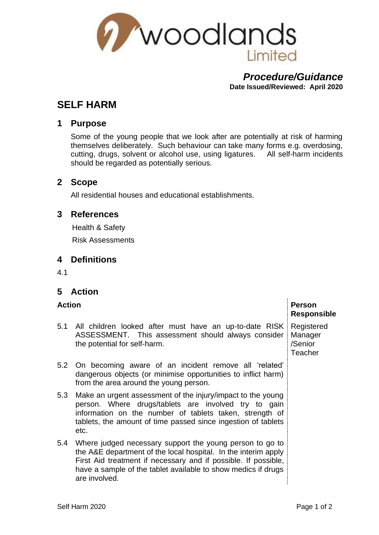

#### *Procedure/Guidance* **Date Issued/Reviewed: April 2020**

# **SELF HARM**

### **1 Purpose**

Some of the young people that we look after are potentially at risk of harming themselves deliberately. Such behaviour can take many forms e.g. overdosing, cutting, drugs, solvent or alcohol use, using ligatures. All self-harm incidents should be regarded as potentially serious.

#### **2 Scope**

All residential houses and educational establishments.

#### **3 References**

Health & Safety

Risk Assessments

# **4 Definitions**

4.1

# **5 Action**

| <b>Action</b> |                                                                                                                                                                                                                                                                                | <b>Person</b><br><b>Responsible</b> |
|---------------|--------------------------------------------------------------------------------------------------------------------------------------------------------------------------------------------------------------------------------------------------------------------------------|-------------------------------------|
|               | 5.1 All children looked after must have an up-to-date RISK Registered<br>ASSESSMENT. This assessment should always consider<br>the potential for self-harm.                                                                                                                    | Manager<br>/Senior<br>Teacher       |
|               | 5.2 On becoming aware of an incident remove all 'related'<br>dangerous objects (or minimise opportunities to inflict harm)<br>from the area around the young person.                                                                                                           |                                     |
| 5.3           | Make an urgent assessment of the injury/impact to the young<br>person. Where drugs/tablets are involved try to gain<br>information on the number of tablets taken, strength of<br>tablets, the amount of time passed since ingestion of tablets<br>etc.                        |                                     |
| 5.4           | Where judged necessary support the young person to go to<br>the A&E department of the local hospital. In the interim apply<br>First Aid treatment if necessary and if possible. If possible,<br>have a sample of the tablet available to show medics if drugs<br>are involved. |                                     |